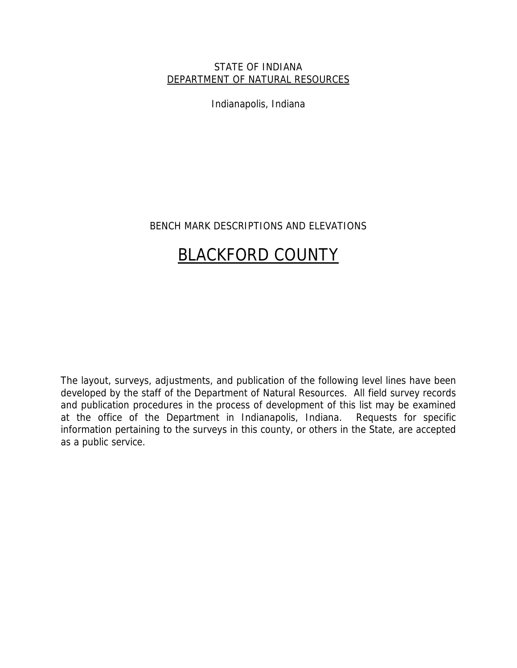## STATE OF INDIANA DEPARTMENT OF NATURAL RESOURCES

Indianapolis, Indiana

## BENCH MARK DESCRIPTIONS AND ELEVATIONS

# BLACKFORD COUNTY

The layout, surveys, adjustments, and publication of the following level lines have been developed by the staff of the Department of Natural Resources. All field survey records and publication procedures in the process of development of this list may be examined at the office of the Department in Indianapolis, Indiana. Requests for specific information pertaining to the surveys in this county, or others in the State, are accepted as a public service.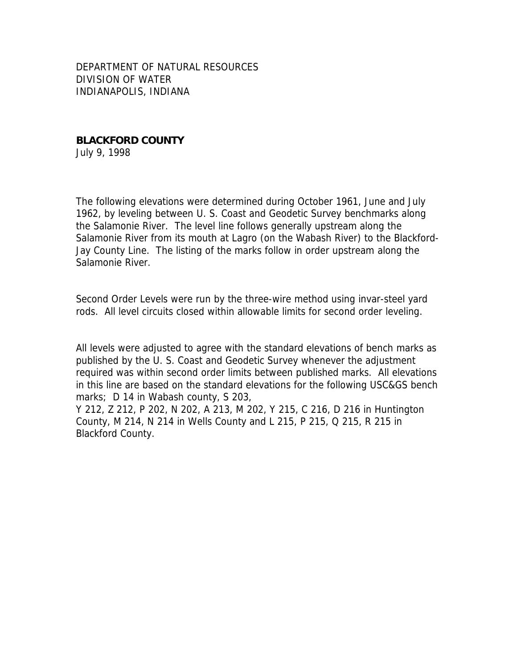DEPARTMENT OF NATURAL RESOURCES DIVISION OF WATER INDIANAPOLIS, INDIANA

**BLACKFORD COUNTY**  July 9, 1998

The following elevations were determined during October 1961, June and July 1962, by leveling between U. S. Coast and Geodetic Survey benchmarks along the Salamonie River. The level line follows generally upstream along the Salamonie River from its mouth at Lagro (on the Wabash River) to the Blackford-Jay County Line. The listing of the marks follow in order upstream along the Salamonie River.

Second Order Levels were run by the three-wire method using invar-steel yard rods. All level circuits closed within allowable limits for second order leveling.

All levels were adjusted to agree with the standard elevations of bench marks as published by the U. S. Coast and Geodetic Survey whenever the adjustment required was within second order limits between published marks. All elevations in this line are based on the standard elevations for the following USC&GS bench marks; D 14 in Wabash county, S 203,

Y 212, Z 212, P 202, N 202, A 213, M 202, Y 215, C 216, D 216 in Huntington County, M 214, N 214 in Wells County and L 215, P 215, Q 215, R 215 in Blackford County.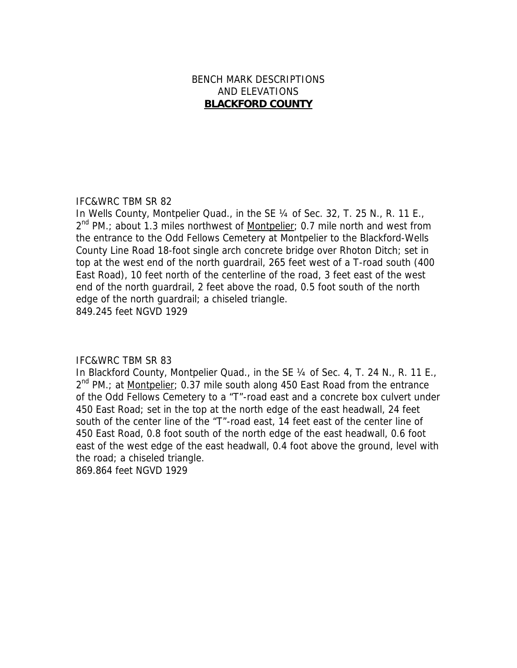## BENCH MARK DESCRIPTIONS AND ELEVATIONS **BLACKFORD COUNTY**

## IFC&WRC TBM SR 82

In Wells County, Montpelier Quad., in the SE 1/4 of Sec. 32, T. 25 N., R. 11 E.,  $2^{nd}$  PM.; about 1.3 miles northwest of Montpelier; 0.7 mile north and west from the entrance to the Odd Fellows Cemetery at Montpelier to the Blackford-Wells County Line Road 18-foot single arch concrete bridge over Rhoton Ditch; set in top at the west end of the north guardrail, 265 feet west of a T-road south (400 East Road), 10 feet north of the centerline of the road, 3 feet east of the west end of the north guardrail, 2 feet above the road, 0.5 foot south of the north edge of the north guardrail; a chiseled triangle. 849.245 feet NGVD 1929

## IFC&WRC TBM SR 83

In Blackford County, Montpelier Quad., in the SE 1/4 of Sec. 4, T. 24 N., R. 11 E.,  $2^{nd}$  PM.; at Montpelier; 0.37 mile south along 450 East Road from the entrance of the Odd Fellows Cemetery to a "T"-road east and a concrete box culvert under 450 East Road; set in the top at the north edge of the east headwall, 24 feet south of the center line of the "T"-road east, 14 feet east of the center line of 450 East Road, 0.8 foot south of the north edge of the east headwall, 0.6 foot east of the west edge of the east headwall, 0.4 foot above the ground, level with the road; a chiseled triangle.

869.864 feet NGVD 1929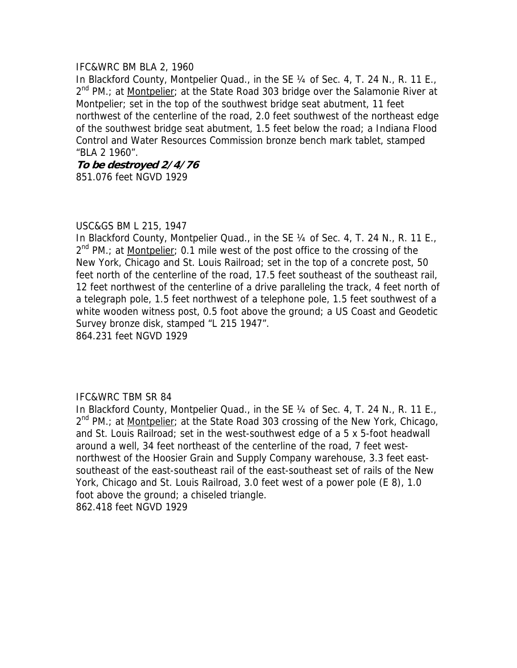## IFC&WRC BM BLA 2, 1960

In Blackford County, Montpelier Quad., in the SE 1/4 of Sec. 4, T. 24 N., R. 11 E.,  $2^{nd}$  PM.; at Montpelier; at the State Road 303 bridge over the Salamonie River at Montpelier; set in the top of the southwest bridge seat abutment, 11 feet northwest of the centerline of the road, 2.0 feet southwest of the northeast edge of the southwest bridge seat abutment, 1.5 feet below the road; a Indiana Flood Control and Water Resources Commission bronze bench mark tablet, stamped "BLA 2 1960".

**To be destroyed 2/4/76** 851.076 feet NGVD 1929

## USC&GS BM L 215, 1947

In Blackford County, Montpelier Quad., in the SE 1/4 of Sec. 4, T. 24 N., R. 11 E., 2<sup>nd</sup> PM.; at Montpelier; 0.1 mile west of the post office to the crossing of the New York, Chicago and St. Louis Railroad; set in the top of a concrete post, 50 feet north of the centerline of the road, 17.5 feet southeast of the southeast rail, 12 feet northwest of the centerline of a drive paralleling the track, 4 feet north of a telegraph pole, 1.5 feet northwest of a telephone pole, 1.5 feet southwest of a white wooden witness post, 0.5 foot above the ground; a US Coast and Geodetic Survey bronze disk, stamped "L 215 1947". 864.231 feet NGVD 1929

## IFC&WRC TBM SR 84

In Blackford County, Montpelier Quad., in the SE 1/4 of Sec. 4, T. 24 N., R. 11 E.,  $2^{nd}$  PM.; at <u>Montpelier</u>; at the State Road 303 crossing of the New York, Chicago, and St. Louis Railroad; set in the west-southwest edge of a 5 x 5-foot headwall around a well, 34 feet northeast of the centerline of the road, 7 feet westnorthwest of the Hoosier Grain and Supply Company warehouse, 3.3 feet eastsoutheast of the east-southeast rail of the east-southeast set of rails of the New York, Chicago and St. Louis Railroad, 3.0 feet west of a power pole (E 8), 1.0 foot above the ground; a chiseled triangle. 862.418 feet NGVD 1929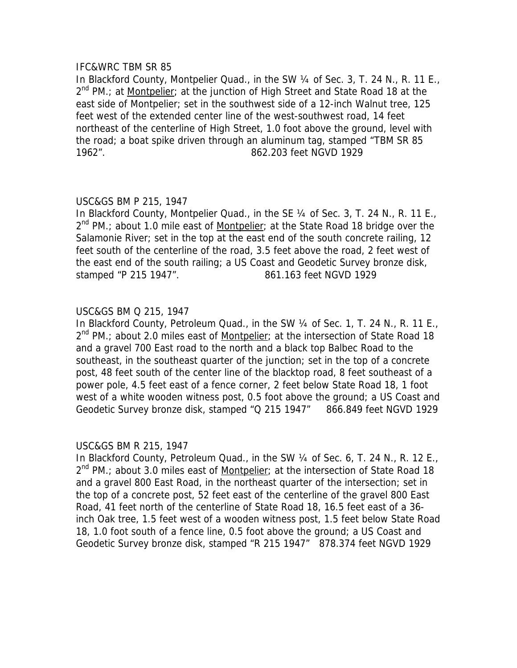## IFC&WRC TBM SR 85

In Blackford County, Montpelier Quad., in the SW 1/4 of Sec. 3, T. 24 N., R. 11 E.,  $2^{nd}$  PM.; at Montpelier; at the junction of High Street and State Road 18 at the east side of Montpelier; set in the southwest side of a 12-inch Walnut tree, 125 feet west of the extended center line of the west-southwest road, 14 feet northeast of the centerline of High Street, 1.0 foot above the ground, level with the road; a boat spike driven through an aluminum tag, stamped "TBM SR 85 1962". 862.203 feet NGVD 1929

## USC&GS BM P 215, 1947

In Blackford County, Montpelier Quad., in the SE 1/4 of Sec. 3, T. 24 N., R. 11 E.,  $2^{nd}$  PM.; about 1.0 mile east of Montpelier; at the State Road 18 bridge over the Salamonie River; set in the top at the east end of the south concrete railing, 12 feet south of the centerline of the road, 3.5 feet above the road, 2 feet west of the east end of the south railing; a US Coast and Geodetic Survey bronze disk, stamped "P 215 1947". 861.163 feet NGVD 1929

## USC&GS BM Q 215, 1947

In Blackford County, Petroleum Quad., in the SW 1/4 of Sec. 1, T. 24 N., R. 11 E.,  $2<sup>nd</sup>$  PM.; about 2.0 miles east of Montpelier; at the intersection of State Road 18 and a gravel 700 East road to the north and a black top Balbec Road to the southeast, in the southeast quarter of the junction; set in the top of a concrete post, 48 feet south of the center line of the blacktop road, 8 feet southeast of a power pole, 4.5 feet east of a fence corner, 2 feet below State Road 18, 1 foot west of a white wooden witness post, 0.5 foot above the ground; a US Coast and Geodetic Survey bronze disk, stamped "Q 215 1947" 866.849 feet NGVD 1929

## USC&GS BM R 215, 1947

In Blackford County, Petroleum Quad., in the SW 1/4 of Sec. 6, T. 24 N., R. 12 E.,  $2^{nd}$  PM.; about 3.0 miles east of Montpelier; at the intersection of State Road 18 and a gravel 800 East Road, in the northeast quarter of the intersection; set in the top of a concrete post, 52 feet east of the centerline of the gravel 800 East Road, 41 feet north of the centerline of State Road 18, 16.5 feet east of a 36 inch Oak tree, 1.5 feet west of a wooden witness post, 1.5 feet below State Road 18, 1.0 foot south of a fence line, 0.5 foot above the ground; a US Coast and Geodetic Survey bronze disk, stamped "R 215 1947" 878.374 feet NGVD 1929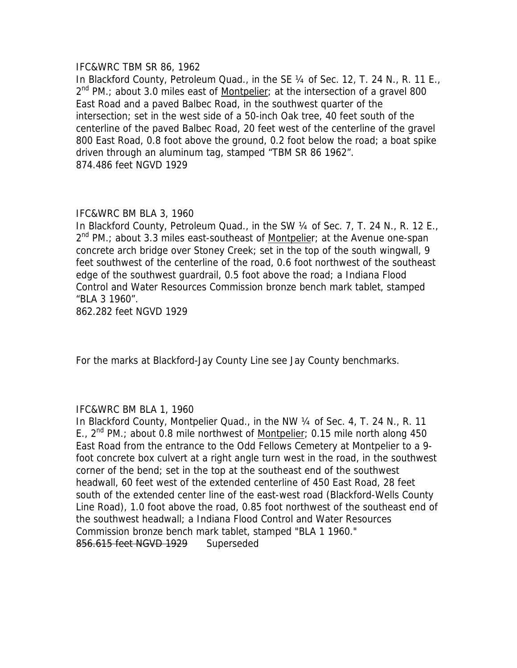## IFC&WRC TBM SR 86, 1962

In Blackford County, Petroleum Quad., in the SE 1/4 of Sec. 12, T. 24 N., R. 11 E.,  $2^{nd}$  PM.; about 3.0 miles east of Montpelier; at the intersection of a gravel 800 East Road and a paved Balbec Road, in the southwest quarter of the intersection; set in the west side of a 50-inch Oak tree, 40 feet south of the centerline of the paved Balbec Road, 20 feet west of the centerline of the gravel 800 East Road, 0.8 foot above the ground, 0.2 foot below the road; a boat spike driven through an aluminum tag, stamped "TBM SR 86 1962". 874.486 feet NGVD 1929

## IFC&WRC BM BLA 3, 1960

In Blackford County, Petroleum Quad., in the SW 1/4 of Sec. 7, T. 24 N., R. 12 E.,  $2^{nd}$  PM.; about 3.3 miles east-southeast of <u>Montpelie</u>r; at the Avenue one-span concrete arch bridge over Stoney Creek; set in the top of the south wingwall, 9 feet southwest of the centerline of the road, 0.6 foot northwest of the southeast edge of the southwest guardrail, 0.5 foot above the road; a Indiana Flood Control and Water Resources Commission bronze bench mark tablet, stamped "BLA 3 1960".

862.282 feet NGVD 1929

For the marks at Blackford-Jay County Line see Jay County benchmarks.

## IFC&WRC BM BLA 1, 1960

In Blackford County, Montpelier Quad., in the NW 1/4 of Sec. 4, T. 24 N., R. 11 E.,  $2^{nd}$  PM.; about 0.8 mile northwest of Montpelier; 0.15 mile north along 450 East Road from the entrance to the Odd Fellows Cemetery at Montpelier to a 9 foot concrete box culvert at a right angle turn west in the road, in the southwest corner of the bend; set in the top at the southeast end of the southwest headwall, 60 feet west of the extended centerline of 450 East Road, 28 feet south of the extended center line of the east-west road (Blackford-Wells County Line Road), 1.0 foot above the road, 0.85 foot northwest of the southeast end of the southwest headwall; a Indiana Flood Control and Water Resources Commission bronze bench mark tablet, stamped "BLA 1 1960." 856.615 feet NGVD 1929 Superseded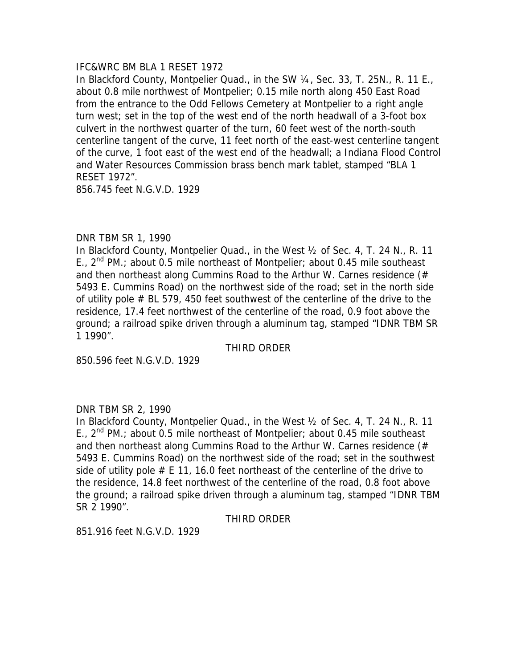## IFC&WRC BM BLA 1 RESET 1972

In Blackford County, Montpelier Quad., in the SW 1/4, Sec. 33, T. 25N., R. 11 E., about 0.8 mile northwest of Montpelier; 0.15 mile north along 450 East Road from the entrance to the Odd Fellows Cemetery at Montpelier to a right angle turn west; set in the top of the west end of the north headwall of a 3-foot box culvert in the northwest quarter of the turn, 60 feet west of the north-south centerline tangent of the curve, 11 feet north of the east-west centerline tangent of the curve, 1 foot east of the west end of the headwall; a Indiana Flood Control and Water Resources Commission brass bench mark tablet, stamped "BLA 1 RESET 1972".

856.745 feet N.G.V.D. 1929

## DNR TBM SR 1, 1990

In Blackford County, Montpelier Quad., in the West ½ of Sec. 4, T. 24 N., R. 11 E.,  $2^{nd}$  PM.; about 0.5 mile northeast of Montpelier; about 0.45 mile southeast and then northeast along Cummins Road to the Arthur W. Carnes residence (# 5493 E. Cummins Road) on the northwest side of the road; set in the north side of utility pole # BL 579, 450 feet southwest of the centerline of the drive to the residence, 17.4 feet northwest of the centerline of the road, 0.9 foot above the ground; a railroad spike driven through a aluminum tag, stamped "IDNR TBM SR 1 1990".

## THIRD ORDER

850.596 feet N.G.V.D. 1929

## DNR TBM SR 2, 1990

In Blackford County, Montpelier Quad., in the West ½ of Sec. 4, T. 24 N., R. 11 E.,  $2^{nd}$  PM.; about 0.5 mile northeast of Montpelier; about 0.45 mile southeast and then northeast along Cummins Road to the Arthur W. Carnes residence (# 5493 E. Cummins Road) on the northwest side of the road; set in the southwest side of utility pole  $#E$  11, 16.0 feet northeast of the centerline of the drive to the residence, 14.8 feet northwest of the centerline of the road, 0.8 foot above the ground; a railroad spike driven through a aluminum tag, stamped "IDNR TBM SR 2 1990".

## THIRD ORDER

851.916 feet N.G.V.D. 1929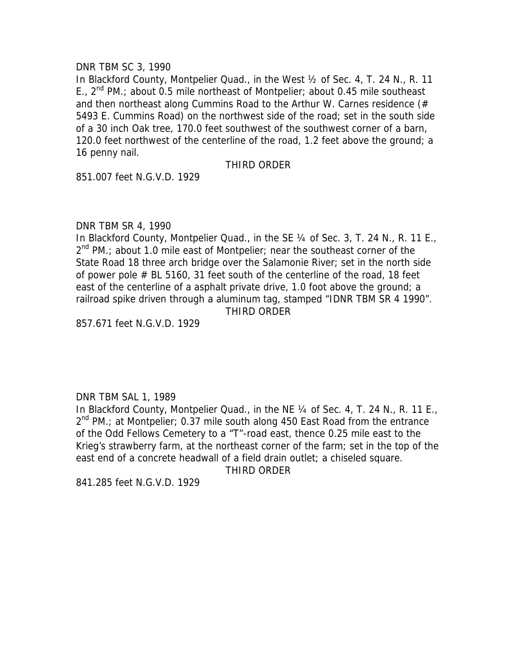## DNR TBM SC 3, 1990

In Blackford County, Montpelier Quad., in the West ½ of Sec. 4, T. 24 N., R. 11 E.,  $2^{nd}$  PM.; about 0.5 mile northeast of Montpelier; about 0.45 mile southeast and then northeast along Cummins Road to the Arthur W. Carnes residence (# 5493 E. Cummins Road) on the northwest side of the road; set in the south side of a 30 inch Oak tree, 170.0 feet southwest of the southwest corner of a barn, 120.0 feet northwest of the centerline of the road, 1.2 feet above the ground; a 16 penny nail.

## THIRD ORDER

851.007 feet N.G.V.D. 1929

## DNR TBM SR 4, 1990

In Blackford County, Montpelier Quad., in the SE 1/4 of Sec. 3, T. 24 N., R. 11 E.,  $2^{nd}$  PM.; about 1.0 mile east of Montpelier; near the southeast corner of the State Road 18 three arch bridge over the Salamonie River; set in the north side of power pole # BL 5160, 31 feet south of the centerline of the road, 18 feet east of the centerline of a asphalt private drive, 1.0 foot above the ground; a railroad spike driven through a aluminum tag, stamped "IDNR TBM SR 4 1990". THIRD ORDER

857.671 feet N.G.V.D. 1929

## DNR TBM SAL 1, 1989

In Blackford County, Montpelier Quad., in the NE 1/4 of Sec. 4, T. 24 N., R. 11 E.,  $2^{nd}$  PM.; at Montpelier; 0.37 mile south along 450 East Road from the entrance of the Odd Fellows Cemetery to a "T"-road east, thence 0.25 mile east to the Krieg's strawberry farm, at the northeast corner of the farm; set in the top of the east end of a concrete headwall of a field drain outlet; a chiseled square.

THIRD ORDER

841.285 feet N.G.V.D. 1929